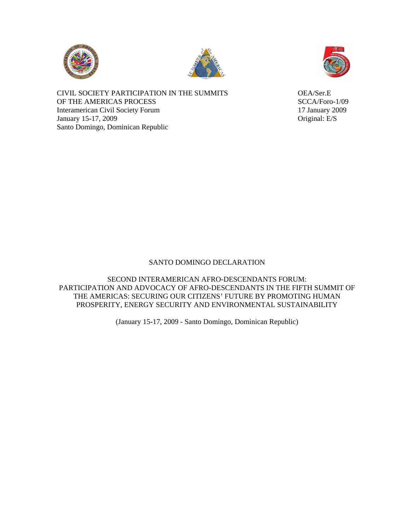





CIVIL SOCIETY PARTICIPATION IN THE SUMMITS OEA/Ser.E OF THE AMERICAS PROCESS SCCA/Foro-1/09 Interamerican Civil Society Forum 17 January 2009 January 15-17, 2009 Original: E/S Santo Domingo, Dominican Republic

## SANTO DOMINGO DECLARATION

SECOND INTERAMERICAN AFRO-DESCENDANTS FORUM: PARTICIPATION AND ADVOCACY OF AFRO-DESCENDANTS IN THE FIFTH SUMMIT OF THE AMERICAS: SECURING OUR CITIZENS' FUTURE BY PROMOTING HUMAN PROSPERITY, ENERGY SECURITY AND ENVIRONMENTAL SUSTAINABILITY

(January 15-17, 2009 - Santo Domingo, Dominican Republic)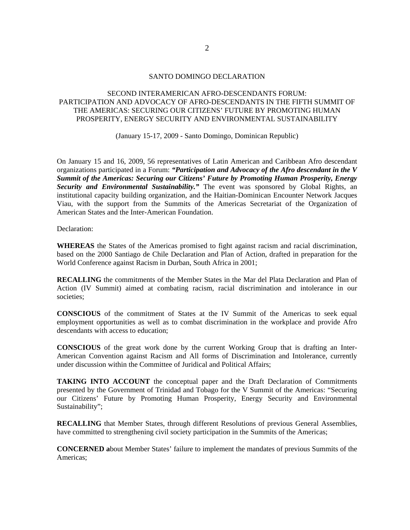## SANTO DOMINGO DECLARATION

## SECOND INTERAMERICAN AFRO-DESCENDANTS FORUM: PARTICIPATION AND ADVOCACY OF AFRO-DESCENDANTS IN THE FIFTH SUMMIT OF THE AMERICAS: SECURING OUR CITIZENS' FUTURE BY PROMOTING HUMAN PROSPERITY, ENERGY SECURITY AND ENVIRONMENTAL SUSTAINABILITY

(January 15-17, 2009 - Santo Domingo, Dominican Republic)

On January 15 and 16, 2009, 56 representatives of Latin American and Caribbean Afro descendant organizations participated in a Forum: *"Participation and Advocacy of the Afro descendant in the V Summit of the Americas: Securing our Citizens' Future by Promoting Human Prosperity, Energy Security and Environmental Sustainability."* The event was sponsored by Global Rights, an institutional capacity building organization, and the Haitian-Dominican Encounter Network Jacques Viau, with the support from the Summits of the Americas Secretariat of the Organization of American States and the Inter-American Foundation.

Declaration:

**WHEREAS** the States of the Americas promised to fight against racism and racial discrimination, based on the 2000 Santiago de Chile Declaration and Plan of Action, drafted in preparation for the World Conference against Racism in Durban, South Africa in 2001;

**RECALLING** the commitments of the Member States in the Mar del Plata Declaration and Plan of Action (IV Summit) aimed at combating racism, racial discrimination and intolerance in our societies;

**CONSCIOUS** of the commitment of States at the IV Summit of the Americas to seek equal employment opportunities as well as to combat discrimination in the workplace and provide Afro descendants with access to education;

**CONSCIOUS** of the great work done by the current Working Group that is drafting an Inter-American Convention against Racism and All forms of Discrimination and Intolerance, currently under discussion within the Committee of Juridical and Political Affairs;

**TAKING INTO ACCOUNT** the conceptual paper and the Draft Declaration of Commitments presented by the Government of Trinidad and Tobago for the V Summit of the Americas: "Securing our Citizens' Future by Promoting Human Prosperity, Energy Security and Environmental Sustainability";

**RECALLING** that Member States, through different Resolutions of previous General Assemblies, have committed to strengthening civil society participation in the Summits of the Americas;

**CONCERNED a**bout Member States' failure to implement the mandates of previous Summits of the Americas;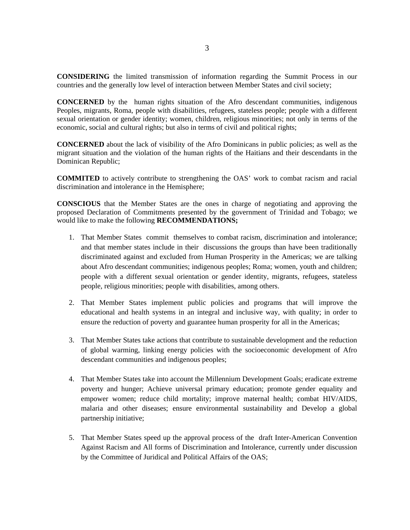**CONSIDERING** the limited transmission of information regarding the Summit Process in our countries and the generally low level of interaction between Member States and civil society;

**CONCERNED** by the human rights situation of the Afro descendant communities, indigenous Peoples, migrants, Roma, people with disabilities, refugees, stateless people; people with a different sexual orientation or gender identity; women, children, religious minorities; not only in terms of the economic, social and cultural rights; but also in terms of civil and political rights;

**CONCERNED** about the lack of visibility of the Afro Dominicans in public policies; as well as the migrant situation and the violation of the human rights of the Haitians and their descendants in the Dominican Republic;

**COMMITED** to actively contribute to strengthening the OAS' work to combat racism and racial discrimination and intolerance in the Hemisphere;

**CONSCIOUS** that the Member States are the ones in charge of negotiating and approving the proposed Declaration of Commitments presented by the government of Trinidad and Tobago; we would like to make the following **RECOMMENDATIONS;** 

- 1. That Member States commit themselves to combat racism, discrimination and intolerance; and that member states include in their discussions the groups than have been traditionally discriminated against and excluded from Human Prosperity in the Americas; we are talking about Afro descendant communities; indigenous peoples; Roma; women, youth and children; people with a different sexual orientation or gender identity, migrants, refugees, stateless people, religious minorities; people with disabilities, among others.
- 2. That Member States implement public policies and programs that will improve the educational and health systems in an integral and inclusive way, with quality; in order to ensure the reduction of poverty and guarantee human prosperity for all in the Americas;
- 3. That Member States take actions that contribute to sustainable development and the reduction of global warming, linking energy policies with the socioeconomic development of Afro descendant communities and indigenous peoples;
- 4. That Member States take into account the Millennium Development Goals; eradicate extreme poverty and hunger; Achieve universal primary education; promote gender equality and empower women; reduce child mortality; improve maternal health; combat HIV/AIDS, malaria and other diseases; ensure environmental sustainability and Develop a global partnership initiative;
- 5. That Member States speed up the approval process of the draft Inter-American Convention Against Racism and All forms of Discrimination and Intolerance, currently under discussion by the Committee of Juridical and Political Affairs of the OAS;